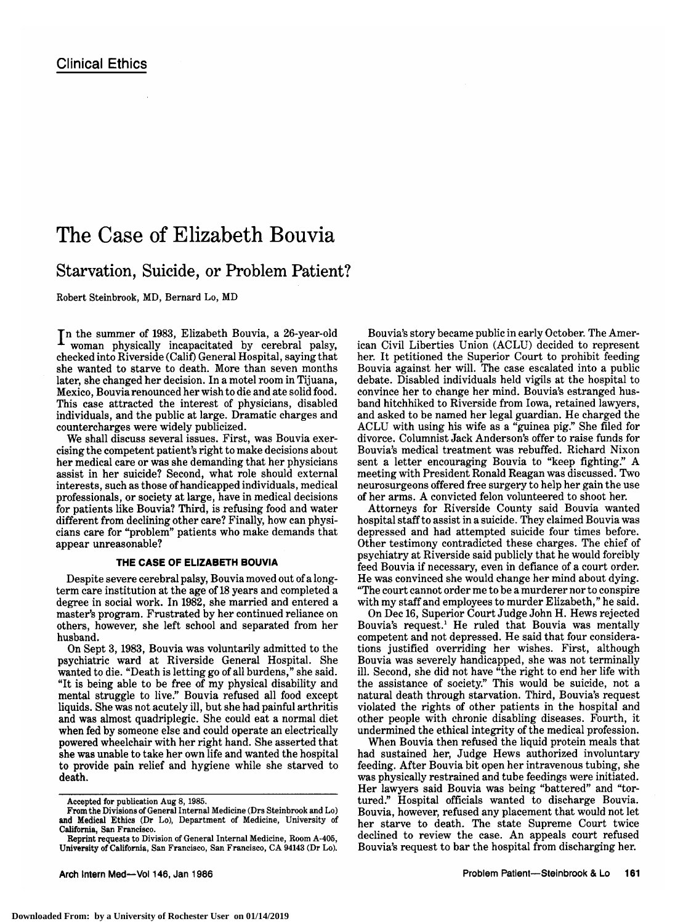# The Case of Elizabeth Bouvia

## Starvation, Suicide, or Problem Patient?

Robert Steinbrook, MD, Bernard Lo, MD

In the summer of 1983, Elizabeth Bouvia, <sup>a</sup> 26-year-old woman physically incapacitated by cerebral palsy, checked into Riverside (Calif) General Hospital, saying that she wanted to starve to death. More than seven months later, she changed her decision. In <sup>a</sup> motel room in Tijuana, Mexico, Bouvia renounced her wish to die and ate solid food. This case attracted the interest of physicians, disabled individuals, and the public at large. Dramatic charges and countercharges were widely publicized.

We shall discuss several issues. First, was Bouvia exercising the competent patient's right to make decisions about her medical care or was she demanding that her physicians assist in her suicide? Second, what role should external interests, such as those of handicapped individuals, medical professionals, or society at large, have in medical decisions for patients like Bouvia? Third, is refusing food and water different from declining other care? Finally, how can physicians care for "problem" patients who make demands that appear unreasonable?

#### THE CASE OF ELIZABETH BOUVIA

Despite severe cerebral palsy, Bouvia moved out of <sup>a</sup> longterm care institution at the age of <sup>18</sup> years and completed <sup>a</sup> degree in social work. In 1982, she married and entered <sup>a</sup> master's program. Frustrated by her continued reliance on others, however, she left school and separated from her husband.

On Sept 3, 1983, Bouvia was voluntarily admitted to the psychiatric ward at Riverside General Hospital. She wanted to die. "Death is letting go of all burdens," she said. "It is being able to be free of my physical disability and mental struggle to live." Bouvia refused all food except liquids. She was not acutely ill, but she had painful arthritis and was almost quadriplegic. She could eat <sup>a</sup> normal diet when fed by someone else and could operate an electrically powered wheelchair with her right hand. She asserted that she was unable to take her own life and wanted the hospital to provide pain relief and hygiene while she starved to death.

Bouvia's story became public in early October. The American Civil Liberties Union (ACLU) decided to represent her. It petitioned the Superior Court to prohibit feeding Bouvia against her will. The case escalated into <sup>a</sup> public debate. Disabled individuals held vigils at the hospital to convince her to change her mind. Bouvia's estranged husband hitchhiked to Riverside from Iowa, retained lawyers, and asked to be named her legal guardian. He charged the ACLU with using his wife as <sup>a</sup> "guinea pig." She filed for divorce. Columnist Jack Anderson's offer to raise funds for Bouvia's medical treatment was rebuffed. Richard Nixon sent <sup>a</sup> letter encouraging Bouvia to "keep fighting." A meeting with President Ronald Reagan was discussed. Two neurosurgeons offered free surgery to help her gain the use of her arms. A convicted felon volunteered to shoot her.

Attorneys for Riverside County said Bouvia wanted hospital staff to assist in <sup>a</sup> suicide. They claimed Bouvia was depressed and had attempted suicide four times before. Other testimony contradicted these charges. The chief of psychiatry at Riverside said publicly that he would forcibly feed Bouvia if necessary, even in defiance of <sup>a</sup> court order. He was convinced she would change her mind about dying. "The court cannot order me to be <sup>a</sup> murderer nor to conspire with my staff and employees to murder Elizabeth," he said.

On Dec 16, Superior Court Judge John H. Hews rejected Bouvia's request.<sup>1</sup> He ruled that Bouvia was mentally competent and not depressed. He said that four considerations justified overriding her wishes. First, although Bouvia was severely handicapped, she was not terminally ill. Second, she did not have "the right to end her life with the assistance of society." This would be suicide, not a natural death through starvation. Third, Bouvia's request violated the rights of other patients in the hospital and other people with chronic disabling diseases. Fourth, it undermined the ethical integrity of the medical profession.

When Bouvia then refused the liquid protein meals that had sustained her, Judge Hews authorized involuntary feeding. After Bouvia bit open her intravenous tubing, she was physically restrained and tube feedings were initiated. Her lawyers said Bouvia was being "battered" and "tortured." Hospital officials wanted to discharge Bouvia. Bouvia, however, refused any placement that would not let her starve to death. The state Supreme Court twice declined to review the case. An appeals court refused Bouvia's request to bar the hospital from discharging her.

Accepted for publication Aug 8, 1985.

From the Divisions of General Internal Medicine (Drs Steinbrook and Lo) and Medical Ethics (Dr Lo), Department of Medicine, University of California, San Francisco.

Reprint requests to Division of General Internal Medicine, Room A-405, University of California, San Francisco, San Francisco, CA <sup>94143</sup> (Dr Lo).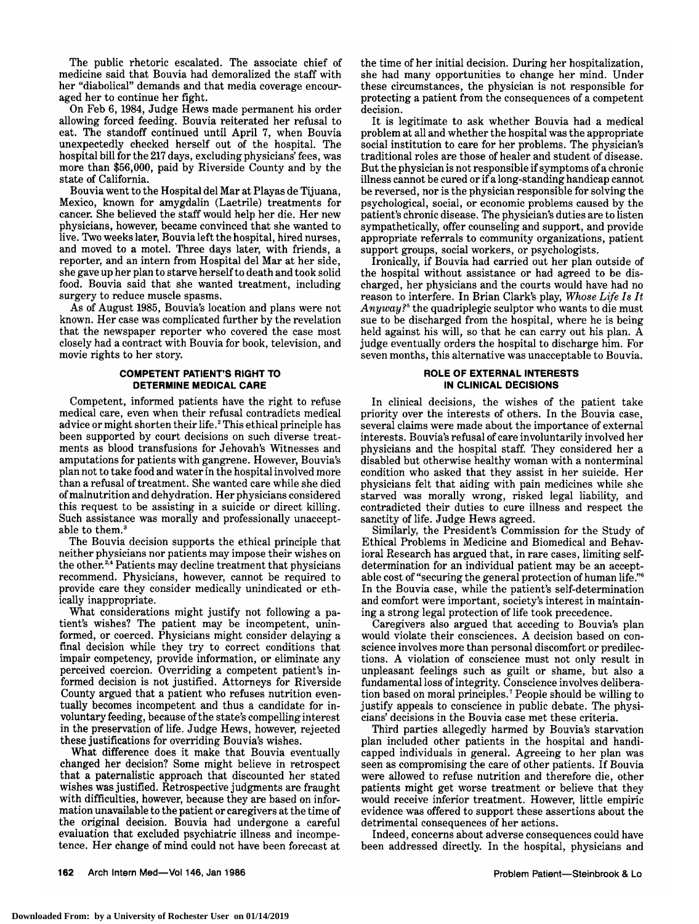The public rhetoric escalated. The associate chief of medicine said that Bouvia had demoralized the staff with her "diabolical" demands and that media coverage encouraged her to continue her fight.

On Feb 6, 1984, Judge Hews made permanent his order allowing forced feeding. Bouvia reiterated her refusal to eat. The standoff continued until April 7, when Bouvia unexpectedly checked herself out of the hospital. The hospital bill for the <sup>217</sup> days, excluding physicians' fees, was more than \$56,000, paid by Riverside County and by the state of California.

Bouvia went to the Hospital del Mar at Playas de Tijuana, Mexico, known for amygdalin (Laetrile) treatments for cancer. She believed the staff would help her die. Her new physicians, however, became convinced that she wanted to live. Two weeks later, Bouvia left the hospital, hired nurses, and moved to <sup>a</sup> motel. Three days later, with friends, <sup>a</sup> reporter, and an intern from Hospital del Mar at her side, she gave up her plan to starve herself to death and took solid food. Bouvia said that she wanted treatment, including surgery to reduce muscle spasms.

As of August 1985, Bouvia's location and plans were not known. Her case was complicated further by the revelation that the newspaper reporter who covered the case most closely had <sup>a</sup> contract with Bouvia for book, television, and movie rights to her story.

#### COMPETENT PATIENT'S RIGHT TO DETERMINE MEDICAL CARE

Competent, informed patients have the right to refuse medical care, even when their refusal contradicts medical advice or might shorten their life.<sup>2</sup> This ethical principle has been supported by court decisions on such diverse treatments as blood transfusions for Jehovah's Witnesses and amputations for patients with gangrene. However, Bouvia's plan not to take food and water in the hospital involved more than a refusal of treatment. She wanted care while she died ofmalnutrition and dehydration. Her physicians considered this request to be assisting in <sup>a</sup> suicide or direct killing. Such assistance was morally and professionally unacceptable to them.<sup>3</sup>

The Bouvia decision supports the ethical principle that neither physicians nor patients may impose their wishes on the other.<sup>2,4</sup> Patients may decline treatment that physicians recommend. Physicians, however, cannot be required to provide care they consider medically unindicated or ethically inappropriate.

What considerations might justify not following a patient's wishes? The patient may be incompetent, uninformed, or coerced. Physicians might consider delaying <sup>a</sup> final decision while they try to correct conditions that impair competency, provide information, or eliminate any perceived coercion. Overriding a competent patient's informed decision is not justified. Attorneys for Riverside County argued that <sup>a</sup> patient who refuses nutrition even tually becomes incompetent and thus a candidate for involuntary feeding, because of the state's compelling interest in the preservation of life. Judge Hews, however, rejected these justifications for overriding Bouvia's wishes.

What difference does it make that Bouvia eventually changed her decision? Some might believe in retrospect that <sup>a</sup> paternalistic approach that discounted her stated with difficulties, however, because they are based on information unavailable to the patient or caregivers at the time of the original decision. Bouvia had undergone <sup>a</sup> careful evaluation that excluded psychiatric illness and incompetence. Her change of mind could not have been forecast at

the time of her initial decision. During her hospitalization, she had many opportunities to change her mind. Under these circumstances, the physician is not responsible for protecting <sup>a</sup> patient from the consequences of <sup>a</sup> competent decision.

It is legitimate to ask whether Bouvia had <sup>a</sup> medical problem at all and whether the hospital was the appropriate social institution to care for her problems. The physician's traditional roles are those of healer and student of disease. But the physician is not responsible if symptoms of a chronic illness cannot be cured or if <sup>a</sup> long-standing handicap cannot be reversed, nor is the physician responsible for solving the psychological, social, or economic problems caused by the patient's chronic disease. The physician's duties are to listen sympathetically, offer counseling and support, and provide appropriate referrals to community organizations, patient support groups, social workers, or psychologists.

Ironically, if Bouvia had carried out her plan outside of the hospital without assistance or had agreed to be dis charged, her physicians and the courts would have had no reason to interfere. In Brian Clark's play, Whose Life Is It Anyway?5 the quadriplegic sculptor who wants to die must sue to be discharged from the hospital, where he is being held against his will, so that he can carry out his plan. A judge eventually orders the hospital to discharge him. For seven months, this alternative was unacceptable to Bouvia.

#### ROLE OF EXTERNAL INTERESTS IN CLINICAL DECISIONS

In clinical decisions, the wishes of the patient take priority over the interests of others. In the Bouvia case, several claims were made about the importance of external interests. Bouvia's refusal of care involuntarily involved her physicians and the hospital staff. They considered her <sup>a</sup> disabled but otherwise healthy woman with <sup>a</sup> nonterminal condition who asked that they assist in her suicide. Her physicians felt that aiding with pain medicines while she starved was morally wrong, risked legal liability, and contradicted their duties to cure illness and respect the sanctity of life. Judge Hews agreed.

Similarly, the President's Commission for the Study of Ethical Problems in Medicine and Biomedical and Behavioral Research has argued that, in rare cases, limiting selfdetermination for an individual patient may be an acceptable cost of "securing the general protection of human life."6 In the Bouvia case, while the patient's self-determination and comfort were important, society's interest in maintaining <sup>a</sup> strong legal protection of life took precedence.

Caregivers also argued that acceding to Bouvia's plan would violate their consciences. A decision based on conscience involves more than personal discomfort or predilections. A violation of conscience must not only result in unpleasant feelings such as guilt or shame, but also <sup>a</sup> fundamental loss of integrity. Conscience involves deliberation based on moral principles.7 People should be willing to justify appeals to conscience in public debate. The physicians' decisions in the Bouvia case met these criteria.

Third parties allegedly harmed by Bouvia's starvation plan included other patients in the hospital and handicapped individuals in general. Agreeing to her plan was seen as compromising the care of other patients. If Bouvia were allowed to refuse nutrition and therefore die, other patients might get worse treatment or believe that they would receive inferior treatment. However, little empiric evidence was offered to support these assertions about the detrimental consequences of her actions.

Indeed, concerns about adverse consequences could have been addressed directly. In the hospital, physicians and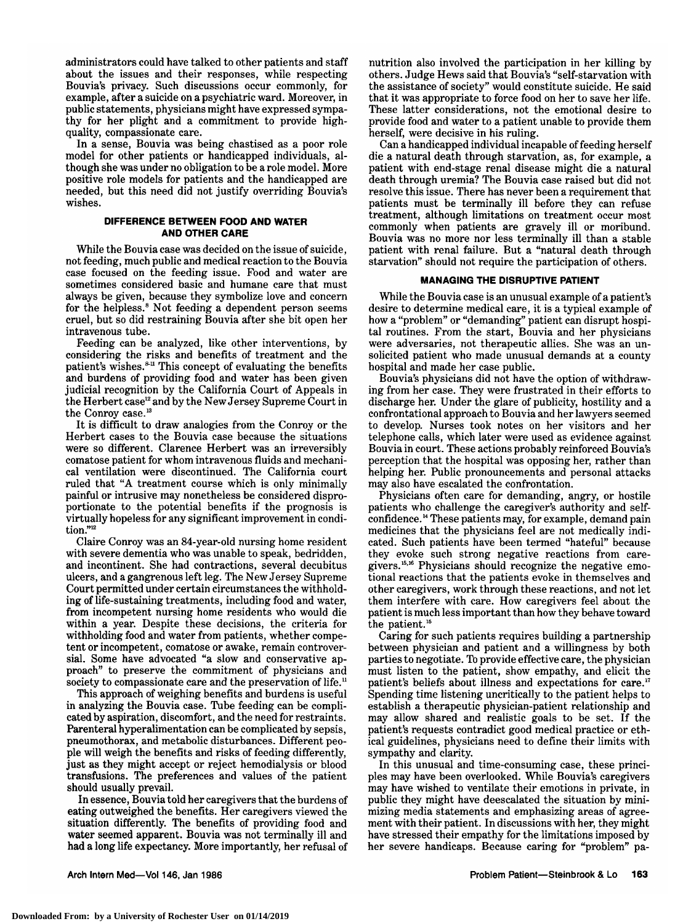administrators could have talked to other patients and staff about the issues and their responses, while respecting Bouvia's privacy. Such discussions occur commonly, for example, after <sup>a</sup> suicide on <sup>a</sup> psychiatric ward. Moreover, in public statements, physicians might have expressed sympathy for her plight and <sup>a</sup> commitment to provide highquality, compassionate care.

In <sup>a</sup> sense, Bouvia was being chastised as <sup>a</sup> poor role model for other patients or handicapped individuals, although she was under no obligation to be <sup>a</sup> role model. More positive role models for patients and the handicapped are needed, but this need did not justify overriding Bouvia's wishes.

#### DIFFERENCE BETWEEN FOOD AND WATER AND OTHER CARE

While the Bouvia case was decided on the issue of suicide, not feeding, much public and medical reaction to the Bouvia case focused on the feeding issue. Food and water are sometimes considered basic and humane care that must always be given, because they symbolize love and concern for the helpless.<sup>8</sup> Not feeding a dependent person seems cruel, but so did restraining Bouvia after she bit open her intravenous tube.

Feeding can be analyzed, like other interventions, by considering the risks and benefits of treatment and the patient's wishes. $841$  This concept of evaluating the benefits and burdens of providing food and water has been given judicial recognition by the California Court of Appeals in the Herbert  $\cose^{12}$  and by the New Jersey Supreme Court in the Conroy case.<sup>13</sup>

It is difficult to draw analogies from the Conroy or the Herbert cases to the Bouvia case because the situations were so different. Clarence Herbert was an irreversibly comatose patient for whom intravenous fluids and mechanical ventilation were discontinued. The California court ruled that "A treatment course which is only minimally painful or intrusive may nonetheless be considered disproportionate to the potential benefits if the prognosis is virtually hopeless for any significant improvement in condition."1

Claire Conroy was an 84-year-old nursing home resident with severe dementia who was unable to speak, bedridden, and incontinent. She had contractions, several decubitus ulcers, and <sup>a</sup> gangrenous left leg. The New Jersey Supreme Court permitted under certain circumstances the withhold ing of life-sustaining treatments, including food and water, from incompetent nursing home residents who would die within <sup>a</sup> year. Despite these decisions, the criteria for withholding food and water from patients, whether competent or incompetent, comatose or awake, remain controversial. Some have advocated "a slow and conservative approach" to preserve the commitment of physicians and society to compassionate care and the preservation of life.<sup>11</sup>

This approach of weighing benefits and burdens is useful in analyzing the Bouvia case. Tube feeding can be complicated by aspiration, discomfort, and the need for restraints. Parenteral hyperalimentation can be complicated by sepsis, pneumothorax, and metabolic disturbances. Different people will weigh the benefits and risks of feeding differently, just as they might accept or reject hemodialysis or blood transfusions. The preferences and values of the patient should usually prevail.

In essence, Bouvia told her caregivers that the burdens of eating outweighed the benefits. Her caregivers viewed the situation differently. The benefits of providing food and water seemed apparent. Bouvia was not terminally ill and had <sup>a</sup> long life expectancy. More importantly, her refusal of nutrition also involved the participation in her killing by others. Judge Hews said that Bouvia's "self-starvation with the assistance of society" would constitute suicide. He said that it was appropriate to force food on her to save her life. These latter considerations, not the emotional desire to provide food and water to <sup>a</sup> patient unable to provide them herself, were decisive in his ruling.

Can <sup>a</sup> handicapped individual incapable of feeding herself die <sup>a</sup> natural death through starvation, as, for example, <sup>a</sup> patient with end-stage renal disease might die <sup>a</sup> natural death through uremia? The Bouvia case raised but did not resolve this issue. There has never been <sup>a</sup> requirement that patients must be terminally ill before they can refuse treatment, although limitations on treatment occur most commonly when patients are gravely ill or moribund. Bouvia was no more nor less terminally ill than <sup>a</sup> stable patient with renal failure. But <sup>a</sup> "natural death through starvation" should not require the participation of others.

### MANAGING THE DISRUPTIVE PATIENT

While the Bouvia case is an unusual example of <sup>a</sup> patient's desire to determine medical care, it is <sup>a</sup> typical example of how a "problem" or "demanding" patient can disrupt hospital routines. From the start, Bouvia and her physicians were adversaries, not therapeutic allies. She was an un solicited patient who made unusual demands at <sup>a</sup> county hospital and made her case public.

Bouvia's physicians did not have the option of withdrawing from her case. They were frustrated in their efforts to discharge her. Under the glare of publicity, hostility and <sup>a</sup> confrontational approach to Bouvia and her lawyers seemed to develop. Nurses took notes on her visitors and her telephone calls, which later were used as evidence against Bouvia in court. These actions probably reinforced Bouvia's perception that the hospital was opposing her, rather than helping her. Public pronouncements and personal attacks may also have escalated the confrontation.

Physicians often care for demanding, angry, or hostile patients who challenge the caregiver's authority and selfconfidence." These patients may, for example, demand pain medicines that the physicians feel are not medically indicated. Such patients have been termed "hateful" because they evoke such strong negative reactions from caregivers.<sup>15,16</sup> Physicians should recognize the negative emotional reactions that the patients evoke in themselves and other caregivers, work through these reactions, and not let them interfere with care. How caregivers feel about the patient is much less important than how they behave toward the patient.<sup>15</sup>

Caring for such patients requires building <sup>a</sup> partnership between physician and patient and <sup>a</sup> willingness by both parties to negotiate. To provide effective care, the physician must listen to the patient, show empathy, and elicit the patient's beliefs about illness and expectations for care.<sup>17</sup> Spending time listening uncritically to the patient helps to establish <sup>a</sup> therapeutic physician-patient relationship and may allow shared and realistic goals to be set. If the patient's requests contradict good medical practice or ethical guidelines, physicians need to define their limits with sympathy and clarity.

In this unusual and time-consuming case, these principles may have been overlooked. While Bouvia's caregivers may have wished to ventilate their emotions in private, in public they might have deescalated the situation by minimizing media statements and emphasizing areas of agreement with their patient. In discussions with her, they might have stressed their empathy for the limitations imposed by her severe handicaps. Because caring for "problem" pa